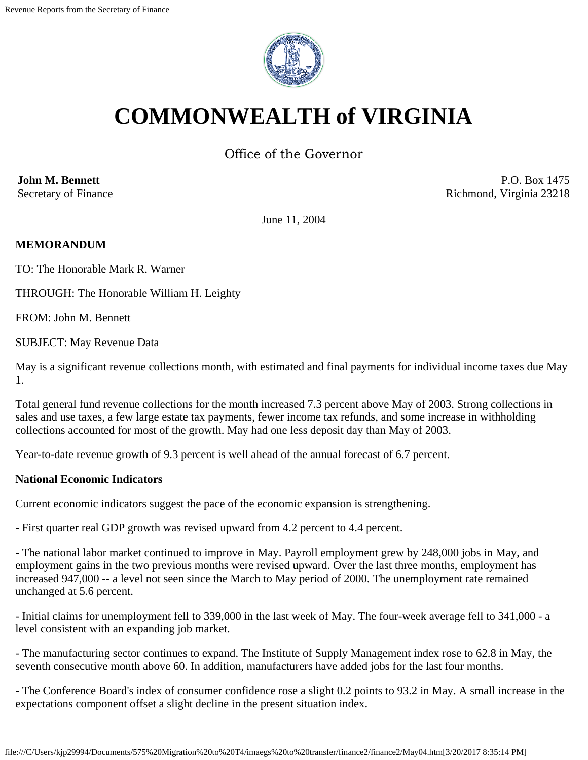

# **COMMONWEALTH of VIRGINIA**

Office of the Governor

**John M. Bennett** Secretary of Finance

P.O. Box 1475 Richmond, Virginia 23218

June 11, 2004

### **MEMORANDUM**

TO: The Honorable Mark R. Warner

THROUGH: The Honorable William H. Leighty

FROM: John M. Bennett

SUBJECT: May Revenue Data

May is a significant revenue collections month, with estimated and final payments for individual income taxes due May 1.

Total general fund revenue collections for the month increased 7.3 percent above May of 2003. Strong collections in sales and use taxes, a few large estate tax payments, fewer income tax refunds, and some increase in withholding collections accounted for most of the growth. May had one less deposit day than May of 2003.

Year-to-date revenue growth of 9.3 percent is well ahead of the annual forecast of 6.7 percent.

#### **National Economic Indicators**

Current economic indicators suggest the pace of the economic expansion is strengthening.

- First quarter real GDP growth was revised upward from 4.2 percent to 4.4 percent.

- The national labor market continued to improve in May. Payroll employment grew by 248,000 jobs in May, and employment gains in the two previous months were revised upward. Over the last three months, employment has increased 947,000 -- a level not seen since the March to May period of 2000. The unemployment rate remained unchanged at 5.6 percent.

- Initial claims for unemployment fell to 339,000 in the last week of May. The four-week average fell to 341,000 - a level consistent with an expanding job market.

- The manufacturing sector continues to expand. The Institute of Supply Management index rose to 62.8 in May, the seventh consecutive month above 60. In addition, manufacturers have added jobs for the last four months.

- The Conference Board's index of consumer confidence rose a slight 0.2 points to 93.2 in May. A small increase in the expectations component offset a slight decline in the present situation index.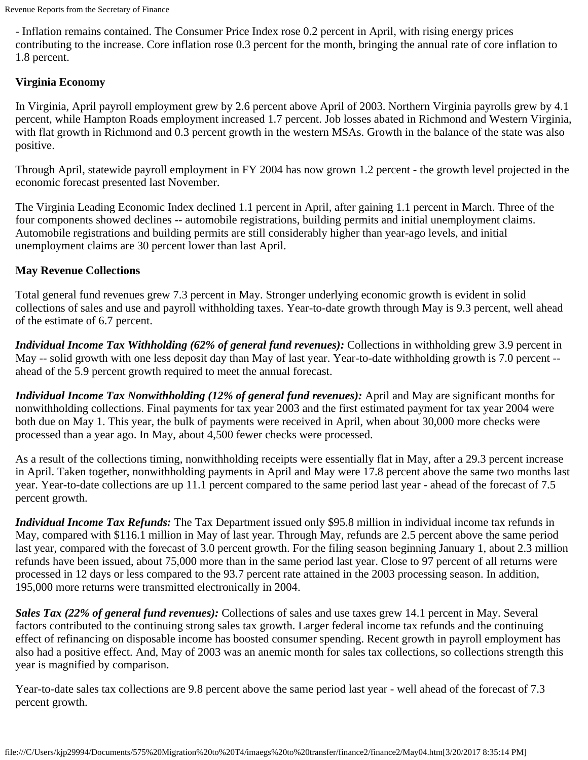- Inflation remains contained. The Consumer Price Index rose 0.2 percent in April, with rising energy prices contributing to the increase. Core inflation rose 0.3 percent for the month, bringing the annual rate of core inflation to 1.8 percent.

#### **Virginia Economy**

In Virginia, April payroll employment grew by 2.6 percent above April of 2003. Northern Virginia payrolls grew by 4.1 percent, while Hampton Roads employment increased 1.7 percent. Job losses abated in Richmond and Western Virginia, with flat growth in Richmond and 0.3 percent growth in the western MSAs. Growth in the balance of the state was also positive.

Through April, statewide payroll employment in FY 2004 has now grown 1.2 percent - the growth level projected in the economic forecast presented last November.

The Virginia Leading Economic Index declined 1.1 percent in April, after gaining 1.1 percent in March. Three of the four components showed declines -- automobile registrations, building permits and initial unemployment claims. Automobile registrations and building permits are still considerably higher than year-ago levels, and initial unemployment claims are 30 percent lower than last April.

#### **May Revenue Collections**

Total general fund revenues grew 7.3 percent in May. Stronger underlying economic growth is evident in solid collections of sales and use and payroll withholding taxes. Year-to-date growth through May is 9.3 percent, well ahead of the estimate of 6.7 percent.

*Individual Income Tax Withholding (62% of general fund revenues):* Collections in withholding grew 3.9 percent in May -- solid growth with one less deposit day than May of last year. Year-to-date withholding growth is 7.0 percent - ahead of the 5.9 percent growth required to meet the annual forecast.

*Individual Income Tax Nonwithholding (12% of general fund revenues):* April and May are significant months for nonwithholding collections. Final payments for tax year 2003 and the first estimated payment for tax year 2004 were both due on May 1. This year, the bulk of payments were received in April, when about 30,000 more checks were processed than a year ago. In May, about 4,500 fewer checks were processed.

As a result of the collections timing, nonwithholding receipts were essentially flat in May, after a 29.3 percent increase in April. Taken together, nonwithholding payments in April and May were 17.8 percent above the same two months last year. Year-to-date collections are up 11.1 percent compared to the same period last year - ahead of the forecast of 7.5 percent growth.

*Individual Income Tax Refunds:* The Tax Department issued only \$95.8 million in individual income tax refunds in May, compared with \$116.1 million in May of last year. Through May, refunds are 2.5 percent above the same period last year, compared with the forecast of 3.0 percent growth. For the filing season beginning January 1, about 2.3 million refunds have been issued, about 75,000 more than in the same period last year. Close to 97 percent of all returns were processed in 12 days or less compared to the 93.7 percent rate attained in the 2003 processing season. In addition, 195,000 more returns were transmitted electronically in 2004.

*Sales Tax (22% of general fund revenues):* Collections of sales and use taxes grew 14.1 percent in May. Several factors contributed to the continuing strong sales tax growth. Larger federal income tax refunds and the continuing effect of refinancing on disposable income has boosted consumer spending. Recent growth in payroll employment has also had a positive effect. And, May of 2003 was an anemic month for sales tax collections, so collections strength this year is magnified by comparison.

Year-to-date sales tax collections are 9.8 percent above the same period last year - well ahead of the forecast of 7.3 percent growth.